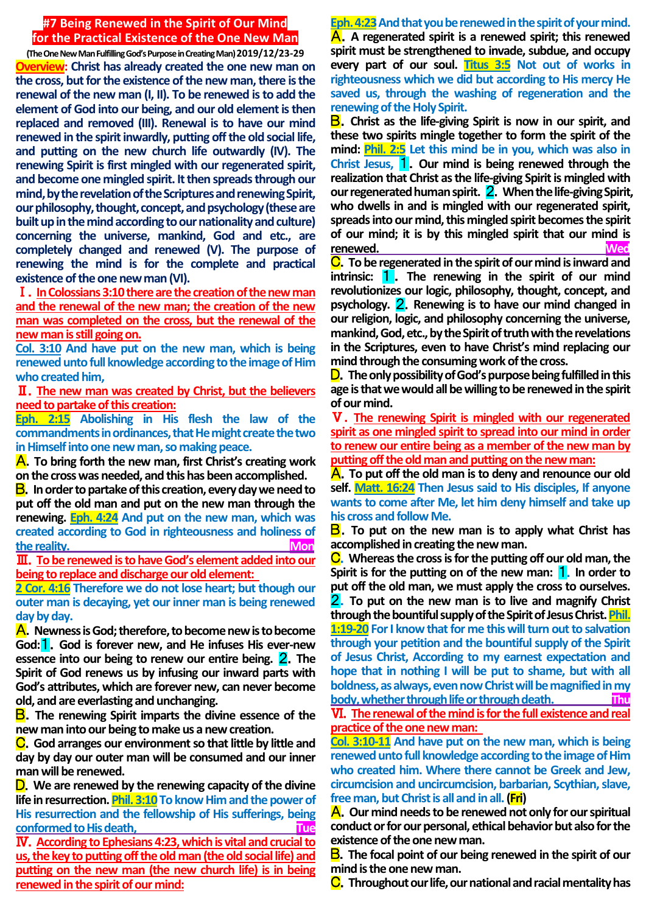## **#7 Being Renewed in the Spirit of Our Mind for the Practical Existence of the One New Man**

**(The One New Man Fulfilling God's Purpose in Creating Man) 2019/12/23-29 Overview: Christ has already created the one new man on the cross, but for the existence of the new man, there is the renewal of the new man (I, II). To be renewed is to add the element of God into our being, and our old element is then replaced and removed (III). Renewal is to have our mind renewed in the spirit inwardly, putting off the old social life, and putting on the new church life outwardly (IV). The renewing Spirit is first mingled with our regenerated spirit, and become one mingled spirit. It then spreads through our mind, by the revelation of the Scriptures and renewing Spirit, our philosophy, thought, concept, and psychology (these are built up in the mind according to our nationality and culture) concerning the universe, mankind, God and etc., are completely changed and renewed (V). The purpose of renewing the mind is for the complete and practical existence of the one new man (VI).**

Ⅰ.**In Colossians 3:10there are the creation of the new man and the renewal of the new man; the creation of the new man was completed on the cross, but the renewal of the new man is still going on.**

**Col. 3:10 And have put on the new man, which is being renewed unto full knowledge according to the image of Him who created him,**

Ⅱ.**The new man was created by Christ, but the believers need to partake of this creation:**

**Eph. 2:15 Abolishing in His flesh the law of the commandments in ordinances, that He might create the two in Himself into one new man, so making peace.**

A.**To bring forth the new man, first Christ's creating work on the cross was needed, and this has been accomplished.**

B.**In order to partake of this creation, every day we need to put off the old man and put on the new man through the renewing. Eph. 4:24 And put on the new man, which was created according to God in righteousness and holiness of**  the reality.

Ⅲ.**To be renewed is to have God's element added into our being to replace and discharge our old element:** 

**2 Cor. 4:16 Therefore we do not lose heart; but though our outer man is decaying, yet our inner man is being renewed day by day.**

A.**Newness is God; therefore, to become new is to become God:**1.**God is forever new, and He infuses His ever-new essence into our being to renew our entire being.** 2.**The Spirit of God renews us by infusing our inward parts with God's attributes, which are forever new, can never become old, and are everlasting and unchanging.**

B.**The renewing Spirit imparts the divine essence of the new man into our being to make us a new creation.**

C.**God arranges our environment so that little by little and day by day our outer man will be consumed and our inner man will be renewed.**

D.**We are renewed by the renewing capacity of the divine life in resurrection. Phil. 3:10 To know Him and the power of His resurrection and the fellowship of His sufferings, being conformed to His death, Tue** 

Ⅳ.**According to Ephesians 4:23, which is vital and crucial to us, the key to putting off the old man (the old social life) and putting on the new man (the new church life) is in being renewed in the spirit of our mind:**

**Eph. 4:23And that you be renewed in the spirit of your mind.** A.**A regenerated spirit is a renewed spirit; this renewed spirit must be strengthened to invade, subdue, and occupy every part of our soul. Titus 3:5 Not out of works in righteousness which we did but according to His mercy He saved us, through the washing of regeneration and the renewing of the Holy Spirit.**

B.**Christ as the life-giving Spirit is now in our spirit, and these two spirits mingle together to form the spirit of the mind: Phil. 2:5 Let this mind be in you, which was also in Christ Jesus,** 1.**Our mind is being renewed through the realization that Christ as the life-giving Spirit is mingled with our regenerated human spirit.** 2.**When the life-giving Spirit, who dwells in and is mingled with our regenerated spirit, spreads into our mind, this mingled spirit becomes the spirit of our mind; it is by this mingled spirit that our mind is renewed. Wed**

C.**To be regenerated in the spirit of our mind is inward and intrinsic:** 1 . **The renewing in the spirit of our mind revolutionizes our logic, philosophy, thought, concept, and psychology.** 2.**Renewing is to have our mind changed in our religion, logic, and philosophy concerning the universe, mankind, God, etc., by the Spirit of truth with the revelations in the Scriptures, even to have Christ's mind replacing our mind through the consuming work of the cross.**

D.**The only possibility of God's purpose being fulfilled in this age is that we would all be willing to be renewed in the spirit of our mind.**

Ⅴ.**The renewing Spirit is mingled with our regenerated spirit as one mingled spirit to spread into our mind in order to renew our entire being as a member of the new man by putting off the old man and putting on the new man:**

A.**To put off the old man is to deny and renounce our old self. Matt. 16:24 Then Jesus said to His disciples, If anyone wants to come after Me, let him deny himself and take up his cross and follow Me.**

B.**To put on the new man is to apply what Christ has accomplished in creating the new man.**

C.**Whereas the cross is for the putting off our old man, the Spirit is for the putting on of the new man:** 1.**In order to put off the old man, we must apply the cross to ourselves.**  2.**To put on the new man is to live and magnify Christ through the bountiful supply of the Spirit of Jesus Christ. Phil. 1:19-20 For I know that for me this will turn out to salvation through your petition and the bountiful supply of the Spirit of Jesus Christ, According to my earnest expectation and hope that in nothing I will be put to shame, but with all boldness, as always, even now Christ will be magnified in my body, whether through life or through death. Thu**

Ⅵ.**The renewal of the mind is for the full existence and real practice of the one new man:** 

**Col. 3:10-11 And have put on the new man, which is being renewed unto full knowledge according to the image of Him who created him. Where there cannot be Greek and Jew, circumcision and uncircumcision, barbarian, Scythian, slave, free man, but Christ is all and in all. (Fri)**

A.**Our mind needs to be renewed not only for our spiritual conduct or for our personal, ethical behavior but also for the existence of the one new man.**

B.**The focal point of our being renewed in the spirit of our mind is the one new man.**

C.**Throughout our life, our national and racial mentality has**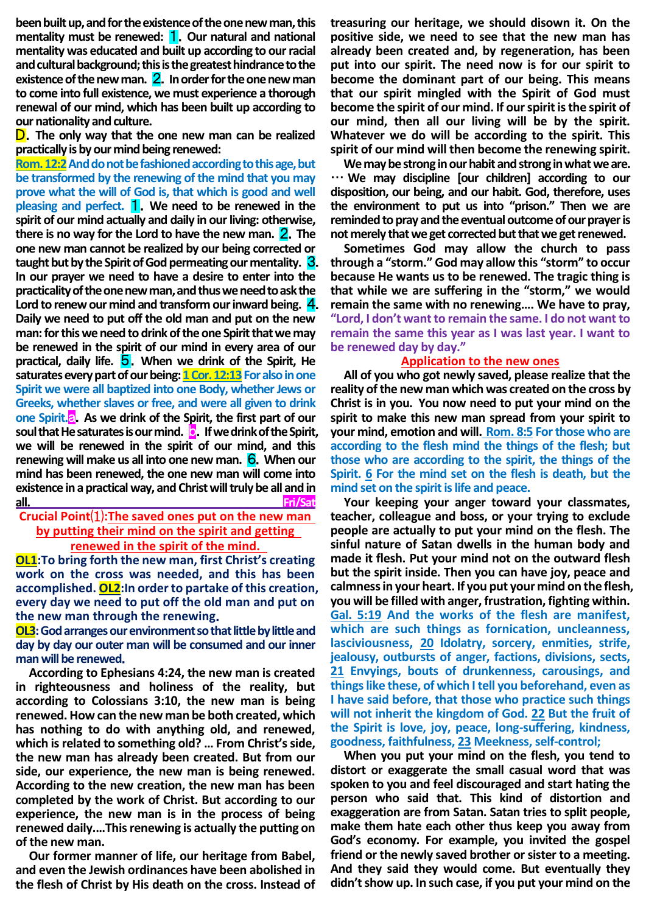**been built up, and for the existence of the one new man, this mentality must be renewed:** 1.**Our natural and national mentality was educated and built up according to our racial and cultural background; this is the greatest hindrance to the existence of the new man.** 2.**In order for the one new man to come into full existence, we must experience a thorough renewal of our mind, which has been built up according to our nationality and culture.**

D.**The only way that the one new man can be realized practically is by our mind being renewed:**

**Rom. 12:2** And do not be fashioned according to this age, but **be transformed by the renewing of the mind that you may prove what the will of God is, that which is good and well pleasing and perfect.** 1.**We need to be renewed in the spirit of our mind actually and daily in our living: otherwise, there is no way for the Lord to have the new man.** 2.**The one new man cannot be realized by our being corrected or taught but by the Spirit of God permeating our mentality.** 3. **In our prayer we need to have a desire to enter into the practicality of the one new man, and thus we need to ask the Lord to renew our mind and transform our inward being.** 4. **Daily we need to put off the old man and put on the new man: for this we need to drink of the one Spirit that we may be renewed in the spirit of our mind in every area of our practical, daily life.** 5.**When we drink of the Spirit, He**  saturates every part of our being: **1 Cor. 12:13** For also in one **Spirit we were all baptized into one Body, whether Jews or Greeks, whether slaves or free, and were all given to drink one Spirit. As we drink of the Spirit, the first part of our soul that He saturates is our mind. D.** If we drink of the Spirit, **we will be renewed in the spirit of our mind, and this renewing will make us all into one new man.** 6.**When our mind has been renewed, the one new man will come into existence in a practical way, and Christ will truly be all and in all. Fri/Sat**

**Crucial Point**⑴**:The saved ones put on the new man by putting their mind on the spirit and getting renewed in the spirit of the mind.** 

**OL1:To bring forth the new man, first Christ's creating work on the cross was needed, and this has been accomplished. OL2:In order to partake of this creation, every day we need to put off the old man and put on the new man through the renewing**.

**OL3:** God arranges our environment so that little by little and **day by day our outer man will be consumed and our inner man will be renewed**.

**According to Ephesians 4:24, the new man is created in righteousness and holiness of the reality, but according to Colossians 3:10, the new man is being renewed. How can the new man be both created, which has nothing to do with anything old, and renewed, which is related to something old? … From Christ's side, the new man has already been created. But from our side, our experience, the new man is being renewed. According to the new creation, the new man has been completed by the work of Christ. But according to our experience, the new man is in the process of being renewed daily.…This renewing is actually the putting on of the new man.**

**Our former manner of life, our heritage from Babel, and even the Jewish ordinances have been abolished in the flesh of Christ by His death on the cross. Instead of**  **treasuring our heritage, we should disown it. On the positive side, we need to see that the new man has already been created and, by regeneration, has been put into our spirit. The need now is for our spirit to become the dominant part of our being. This means that our spirit mingled with the Spirit of God must become the spirit of our mind. If our spirit is the spirit of our mind, then all our living will be by the spirit. Whatever we do will be according to the spirit. This spirit of our mind will then become the renewing spirit.** 

**We may be strong in our habit and strong in what we are.**  … **We may discipline [our children] according to our disposition, our being, and our habit. God, therefore, uses the environment to put us into "prison." Then we are reminded to pray and the eventual outcome of our prayer is not merely that we get corrected but that we get renewed.** 

**Sometimes God may allow the church to pass through a "storm." God may allow this "storm" to occur because He wants us to be renewed. The tragic thing is that while we are suffering in the "storm," we would remain the same with no renewing…. We have to pray, "Lord, I don't want to remain the same. I do not want to remain the same this year as I was last year. I want to be renewed day by day."** 

#### **Application to the new ones**

**All of you who got newly saved, please realize that the reality of the new man which was created on the cross by Christ is in you. You now need to put your mind on the spirit to make this new man spread from your spirit to your mind, emotion and will. Rom. 8:5 For those who are according to the flesh mind the things of the flesh; but those who are according to the spirit, the things of the Spirit. 6 For the mind set on the flesh is death, but the mind set on the spirit is life and peace.**

**Your keeping your anger toward your classmates, teacher, colleague and boss, or your trying to exclude people are actually to put your mind on the flesh. The sinful nature of Satan dwells in the human body and made it flesh. Put your mind not on the outward flesh but the spirit inside. Then you can have joy, peace and calmness in your heart. If you put your mind on the flesh, you will be filled with anger, frustration, fighting within. Gal. 5:19 And the works of the flesh are manifest, which are such things as fornication, uncleanness, lasciviousness, 20 Idolatry, sorcery, enmities, strife, jealousy, outbursts of anger, factions, divisions, sects, 21 Envyings, bouts of drunkenness, carousings, and things like these, of which I tell you beforehand, even as I have said before, that those who practice such things will not inherit the kingdom of God. 22 But the fruit of the Spirit is love, joy, peace, long-suffering, kindness, goodness, faithfulness, 23 Meekness, self-control;**

**When you put your mind on the flesh, you tend to distort or exaggerate the small casual word that was spoken to you and feel discouraged and start hating the person who said that. This kind of distortion and exaggeration are from Satan. Satan tries to split people, make them hate each other thus keep you away from God's economy. For example, you invited the gospel friend or the newly saved brother or sister to a meeting. And they said they would come. But eventually they didn't show up. In such case, if you put your mind on the**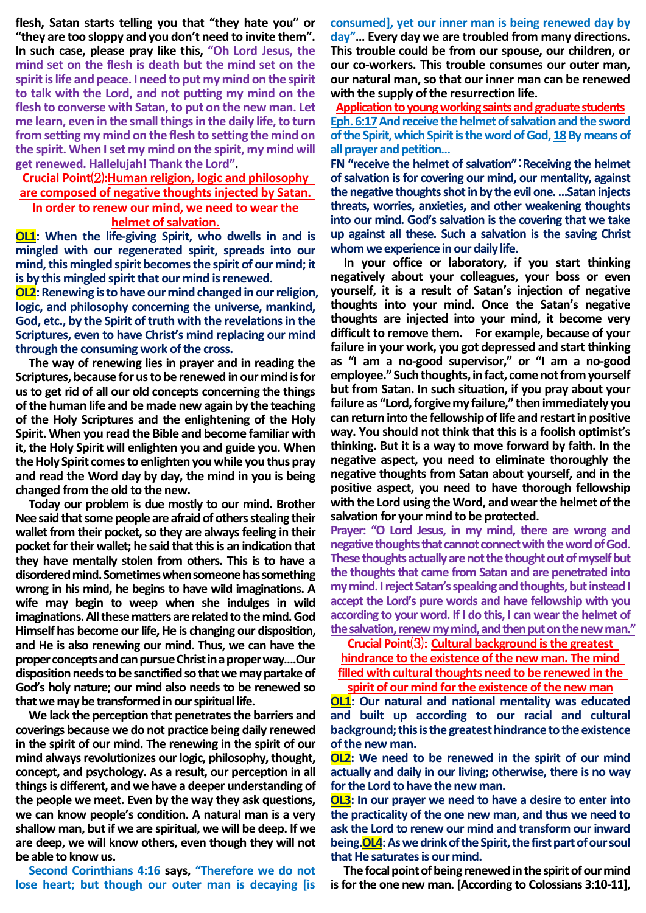**flesh, Satan starts telling you that "they hate you" or "they are too sloppy and you don't need to invite them". In such case, please pray like this, "Oh Lord Jesus, the mind set on the flesh is death but the mind set on the spirit is life and peace. I need to put my mind on the spirit to talk with the Lord, and not putting my mind on the flesh to converse with Satan, to put on the new man. Let me learn, even in the small things in the daily life, to turn from setting my mind on the flesh to setting the mind on the spirit. When I set my mind on the spirit, my mind will get renewed. Hallelujah! Thank the Lord".** 

**Crucial Point**⑵**:Human religion, logic and philosophy are composed of negative thoughts injected by Satan. In order to renew our mind, we need to wear the** 

# **helmet of salvation.**

**OL1: When the life-giving Spirit, who dwells in and is mingled with our regenerated spirit, spreads into our mind, this mingled spirit becomes the spirit of our mind; it is by this mingled spirit that our mind is renewed.**

**OL2:** Renewing is to have our mind changed in our religion, **logic, and philosophy concerning the universe, mankind, God, etc., by the Spirit of truth with the revelations in the Scriptures, even to have Christ's mind replacing our mind through the consuming work of the cross.**

**The way of renewing lies in prayer and in reading the Scriptures, because for us to be renewed in our mind is for us to get rid of all our old concepts concerning the things of the human life and be made new again by the teaching of the Holy Scriptures and the enlightening of the Holy Spirit. When you read the Bible and become familiar with it, the Holy Spirit will enlighten you and guide you. When the Holy Spirit comes to enlighten you while you thus pray and read the Word day by day, the mind in you is being changed from the old to the new.**

**Today our problem is due mostly to our mind. Brother Nee said that some people are afraid of others stealing their wallet from their pocket, so they are always feeling in their pocket for their wallet; he said that this is an indication that they have mentally stolen from others. This is to have a disordered mind. Sometimes when someone has something wrong in his mind, he begins to have wild imaginations. A wife may begin to weep when she indulges in wild imaginations. All these matters are related to the mind. God Himself has become our life, He is changing our disposition, and He is also renewing our mind. Thus, we can have the proper concepts and can pursue Christ in a proper way….Our disposition needs to be sanctified so that we may partake of God's holy nature; our mind also needs to be renewed so that we may be transformed in our spiritual life.**

**We lack the perception that penetrates the barriers and coverings because we do not practice being daily renewed in the spirit of our mind. The renewing in the spirit of our mind always revolutionizes our logic, philosophy, thought, concept, and psychology. As a result, our perception in all things is different, and we have a deeper understanding of the people we meet. Even by the way they ask questions, we can know people's condition. A natural man is a very shallow man, but if we are spiritual, we will be deep. If we are deep, we will know others, even though they will not be able to know us.**

**Second Corinthians 4:16 says, "Therefore we do not lose heart; but though our outer man is decaying [is** 

**consumed], yet our inner man is being renewed day by day"… Every day we are troubled from many directions. This trouble could be from our spouse, our children, or our co-workers. This trouble consumes our outer man, our natural man, so that our inner man can be renewed with the supply of the resurrection life.**

**Application to young working saints and graduate students Eph. 6:17And receive the helmet of salvation and the sword**  of the Spirit, which Spirit is the word of God, 18 By means of **all prayer and petition…**

**FN "receive the helmet of salvation"**:**Receiving the helmet of salvation is for covering our mind, our mentality, against the negative thoughts shot in by the evil one. …Satan injects threats, worries, anxieties, and other weakening thoughts into our mind. God's salvation is the covering that we take up against all these. Such a salvation is the saving Christ whom we experience in our daily life.**

**In your office or laboratory, if you start thinking negatively about your colleagues, your boss or even yourself, it is a result of Satan's injection of negative thoughts into your mind. Once the Satan's negative thoughts are injected into your mind, it become very difficult to remove them. For example, because of your failure in your work, you got depressed and start thinking as "I am a no-good supervisor," or "I am a no-good employee." Such thoughts, in fact, come not from yourself but from Satan. In such situation, if you pray about your failure as "Lord, forgive my failure," then immediately you can return into the fellowship of life and restart in positive way. You should not think that this is a foolish optimist's thinking. But it is a way to move forward by faith. In the negative aspect, you need to eliminate thoroughly the negative thoughts from Satan about yourself, and in the positive aspect, you need to have thorough fellowship with the Lord using the Word, and wear the helmet of the salvation for your mind to be protected.**

**Prayer: "O Lord Jesus, in my mind, there are wrong and negative thoughts that cannot connect with the word of God.**  These thoughts actually are not the thought out of myself but **the thoughts that came from Satan and are penetrated into my mind. I reject Satan's speaking and thoughts, but instead I accept the Lord's pure words and have fellowship with you according to your word. If I do this, I can wear the helmet of the salvation, renew my mind, and then put on the new man."**

**Crucial Point**⑶**: Cultural background is the greatest** 

**hindrance to the existence of the new man. The mind filled with cultural thoughts need to be renewed in the spirit of our mind for the existence of the new man**

**OL1:** Our natural and national mentality was educated **and built up according to our racial and cultural background; this is the greatest hindrance to the existence of the new man.**

**OL2: We need to be renewed in the spirit of our mind actually and daily in our living; otherwise, there is no way for the Lord to have the new man.**

**OL3: In our prayer we need to have a desire to enter into the practicality of the one new man, and thus we need to ask the Lord to renew our mind and transform our inward being.OL4: As we drink of the Spirit, the first part of our soul that He saturates is our mind.**

**The focal point of being renewed in the spirit of our mind is for the one new man. [According to Colossians 3:10-11],**